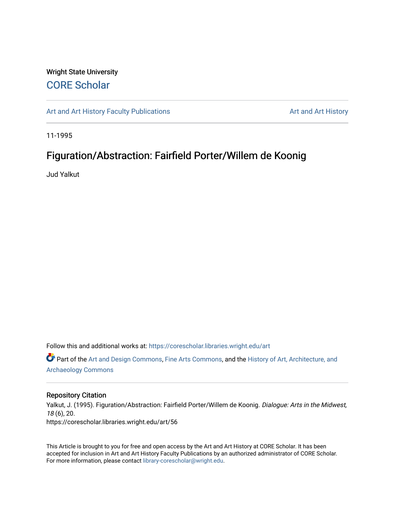## Wright State University [CORE Scholar](https://corescholar.libraries.wright.edu/)

[Art and Art History Faculty Publications](https://corescholar.libraries.wright.edu/art) [Art and Art History](https://corescholar.libraries.wright.edu/art_comm) Art and Art History

11-1995

# Figuration/Abstraction: Fairfield Porter/Willem de Koonig

Jud Yalkut

Follow this and additional works at: [https://corescholar.libraries.wright.edu/art](https://corescholar.libraries.wright.edu/art?utm_source=corescholar.libraries.wright.edu%2Fart%2F56&utm_medium=PDF&utm_campaign=PDFCoverPages) 

Part of the [Art and Design Commons](http://network.bepress.com/hgg/discipline/1049?utm_source=corescholar.libraries.wright.edu%2Fart%2F56&utm_medium=PDF&utm_campaign=PDFCoverPages), [Fine Arts Commons](http://network.bepress.com/hgg/discipline/1141?utm_source=corescholar.libraries.wright.edu%2Fart%2F56&utm_medium=PDF&utm_campaign=PDFCoverPages), and the [History of Art, Architecture, and](http://network.bepress.com/hgg/discipline/510?utm_source=corescholar.libraries.wright.edu%2Fart%2F56&utm_medium=PDF&utm_campaign=PDFCoverPages) [Archaeology Commons](http://network.bepress.com/hgg/discipline/510?utm_source=corescholar.libraries.wright.edu%2Fart%2F56&utm_medium=PDF&utm_campaign=PDFCoverPages) 

### Repository Citation

Yalkut, J. (1995). Figuration/Abstraction: Fairfield Porter/Willem de Koonig. Dialogue: Arts in the Midwest, 18 (6), 20. https://corescholar.libraries.wright.edu/art/56

This Article is brought to you for free and open access by the Art and Art History at CORE Scholar. It has been accepted for inclusion in Art and Art History Faculty Publications by an authorized administrator of CORE Scholar. For more information, please contact [library-corescholar@wright.edu](mailto:library-corescholar@wright.edu).